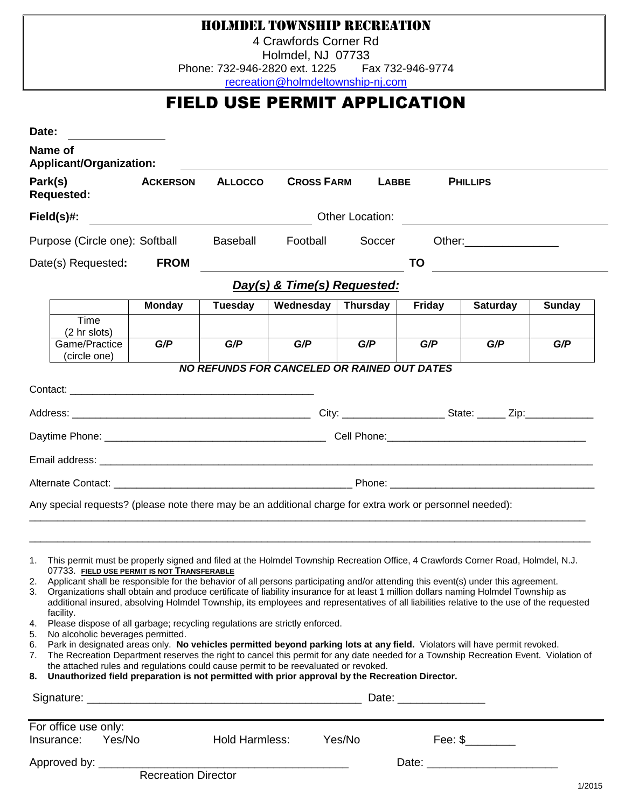### Holmdel Township Recreation

4 Crawfords Corner Rd Holmdel, NJ 07733 Phone: 732-946-2820 ext. 1225 Fax 732-946-9774

[recreation@holmdeltownship-nj.com](mailto:recreation@holmdeltownship-nj.com)

## FIELD USE PERMIT APPLICATION

| Date:                                                                                                                  |                                                                                                                                                                                                                                                                                                                                                                                                                                                                                                                                                                                                                                                                                                                                                                                                                                                                                                                                                                                                                                                                                                                                                        |                       |                                                    |                 |        |                                                       |               |
|------------------------------------------------------------------------------------------------------------------------|--------------------------------------------------------------------------------------------------------------------------------------------------------------------------------------------------------------------------------------------------------------------------------------------------------------------------------------------------------------------------------------------------------------------------------------------------------------------------------------------------------------------------------------------------------------------------------------------------------------------------------------------------------------------------------------------------------------------------------------------------------------------------------------------------------------------------------------------------------------------------------------------------------------------------------------------------------------------------------------------------------------------------------------------------------------------------------------------------------------------------------------------------------|-----------------------|----------------------------------------------------|-----------------|--------|-------------------------------------------------------|---------------|
| Name of<br>Applicant/Organization:                                                                                     |                                                                                                                                                                                                                                                                                                                                                                                                                                                                                                                                                                                                                                                                                                                                                                                                                                                                                                                                                                                                                                                                                                                                                        |                       |                                                    |                 |        |                                                       |               |
| Park(s)<br><b>Requested:</b>                                                                                           | <b>ACKERSON</b>                                                                                                                                                                                                                                                                                                                                                                                                                                                                                                                                                                                                                                                                                                                                                                                                                                                                                                                                                                                                                                                                                                                                        | <b>ALLOCCO</b>        | <b>CROSS FARM</b>                                  | <b>LABBE</b>    |        | <b>PHILLIPS</b>                                       |               |
| $Field(s)\#$ :                                                                                                         |                                                                                                                                                                                                                                                                                                                                                                                                                                                                                                                                                                                                                                                                                                                                                                                                                                                                                                                                                                                                                                                                                                                                                        |                       |                                                    | Other Location: |        |                                                       |               |
| Purpose (Circle one): Softball                                                                                         |                                                                                                                                                                                                                                                                                                                                                                                                                                                                                                                                                                                                                                                                                                                                                                                                                                                                                                                                                                                                                                                                                                                                                        | Baseball              | Football                                           | Soccer          |        | Other: __________________                             |               |
| Date(s) Requested:                                                                                                     | <b>FROM</b>                                                                                                                                                                                                                                                                                                                                                                                                                                                                                                                                                                                                                                                                                                                                                                                                                                                                                                                                                                                                                                                                                                                                            |                       |                                                    |                 | TO     | <u> 1989 - Jan Samuel Barbara, político establece</u> |               |
|                                                                                                                        |                                                                                                                                                                                                                                                                                                                                                                                                                                                                                                                                                                                                                                                                                                                                                                                                                                                                                                                                                                                                                                                                                                                                                        |                       | Day(s) & Time(s) Requested:                        |                 |        |                                                       |               |
|                                                                                                                        | <b>Monday</b>                                                                                                                                                                                                                                                                                                                                                                                                                                                                                                                                                                                                                                                                                                                                                                                                                                                                                                                                                                                                                                                                                                                                          | <b>Tuesday</b>        | Wednesday                                          | <b>Thursday</b> | Friday | <b>Saturday</b>                                       | <b>Sunday</b> |
| Time<br>(2 hr slots)<br>Game/Practice                                                                                  | G/P                                                                                                                                                                                                                                                                                                                                                                                                                                                                                                                                                                                                                                                                                                                                                                                                                                                                                                                                                                                                                                                                                                                                                    | G/P                   | G/P                                                | G/P             | G/P    | G/P                                                   | G/P           |
| (circle one)                                                                                                           |                                                                                                                                                                                                                                                                                                                                                                                                                                                                                                                                                                                                                                                                                                                                                                                                                                                                                                                                                                                                                                                                                                                                                        |                       |                                                    |                 |        |                                                       |               |
|                                                                                                                        |                                                                                                                                                                                                                                                                                                                                                                                                                                                                                                                                                                                                                                                                                                                                                                                                                                                                                                                                                                                                                                                                                                                                                        |                       | <b>NO REFUNDS FOR CANCELED OR RAINED OUT DATES</b> |                 |        |                                                       |               |
|                                                                                                                        |                                                                                                                                                                                                                                                                                                                                                                                                                                                                                                                                                                                                                                                                                                                                                                                                                                                                                                                                                                                                                                                                                                                                                        |                       |                                                    |                 |        |                                                       |               |
|                                                                                                                        |                                                                                                                                                                                                                                                                                                                                                                                                                                                                                                                                                                                                                                                                                                                                                                                                                                                                                                                                                                                                                                                                                                                                                        |                       |                                                    |                 |        |                                                       |               |
|                                                                                                                        |                                                                                                                                                                                                                                                                                                                                                                                                                                                                                                                                                                                                                                                                                                                                                                                                                                                                                                                                                                                                                                                                                                                                                        |                       |                                                    |                 |        |                                                       |               |
|                                                                                                                        |                                                                                                                                                                                                                                                                                                                                                                                                                                                                                                                                                                                                                                                                                                                                                                                                                                                                                                                                                                                                                                                                                                                                                        |                       |                                                    |                 |        |                                                       |               |
|                                                                                                                        |                                                                                                                                                                                                                                                                                                                                                                                                                                                                                                                                                                                                                                                                                                                                                                                                                                                                                                                                                                                                                                                                                                                                                        |                       |                                                    |                 |        |                                                       |               |
| Any special requests? (please note there may be an additional charge for extra work or personnel needed):              |                                                                                                                                                                                                                                                                                                                                                                                                                                                                                                                                                                                                                                                                                                                                                                                                                                                                                                                                                                                                                                                                                                                                                        |                       |                                                    |                 |        |                                                       |               |
|                                                                                                                        |                                                                                                                                                                                                                                                                                                                                                                                                                                                                                                                                                                                                                                                                                                                                                                                                                                                                                                                                                                                                                                                                                                                                                        |                       |                                                    |                 |        |                                                       |               |
| 1.<br>2.<br>3.<br>facility.<br>4.<br>No alcoholic beverages permitted.<br>5.<br>6.<br>7.<br>8.<br>For office use only: | This permit must be properly signed and filed at the Holmdel Township Recreation Office, 4 Crawfords Corner Road, Holmdel, N.J.<br>07733. FIELD USE PERMIT IS NOT TRANSFERABLE<br>Applicant shall be responsible for the behavior of all persons participating and/or attending this event(s) under this agreement.<br>Organizations shall obtain and produce certificate of liability insurance for at least 1 million dollars naming Holmdel Township as<br>additional insured, absolving Holmdel Township, its employees and representatives of all liabilities relative to the use of the requested<br>Please dispose of all garbage; recycling regulations are strictly enforced.<br>Park in designated areas only. No vehicles permitted beyond parking lots at any field. Violators will have permit revoked.<br>The Recreation Department reserves the right to cancel this permit for any date needed for a Township Recreation Event. Violation of<br>the attached rules and regulations could cause permit to be reevaluated or revoked.<br>Unauthorized field preparation is not permitted with prior approval by the Recreation Director. |                       |                                                    |                 |        |                                                       |               |
| Yes/No<br>Insurance:                                                                                                   |                                                                                                                                                                                                                                                                                                                                                                                                                                                                                                                                                                                                                                                                                                                                                                                                                                                                                                                                                                                                                                                                                                                                                        | <b>Hold Harmless:</b> |                                                    | Yes/No          |        | $\text{Fee: }$ \$                                     |               |
|                                                                                                                        |                                                                                                                                                                                                                                                                                                                                                                                                                                                                                                                                                                                                                                                                                                                                                                                                                                                                                                                                                                                                                                                                                                                                                        |                       |                                                    |                 |        | Date: <u>_______________________</u>                  |               |
|                                                                                                                        | <b>Recreation Director</b>                                                                                                                                                                                                                                                                                                                                                                                                                                                                                                                                                                                                                                                                                                                                                                                                                                                                                                                                                                                                                                                                                                                             |                       |                                                    |                 |        |                                                       | 1/2015        |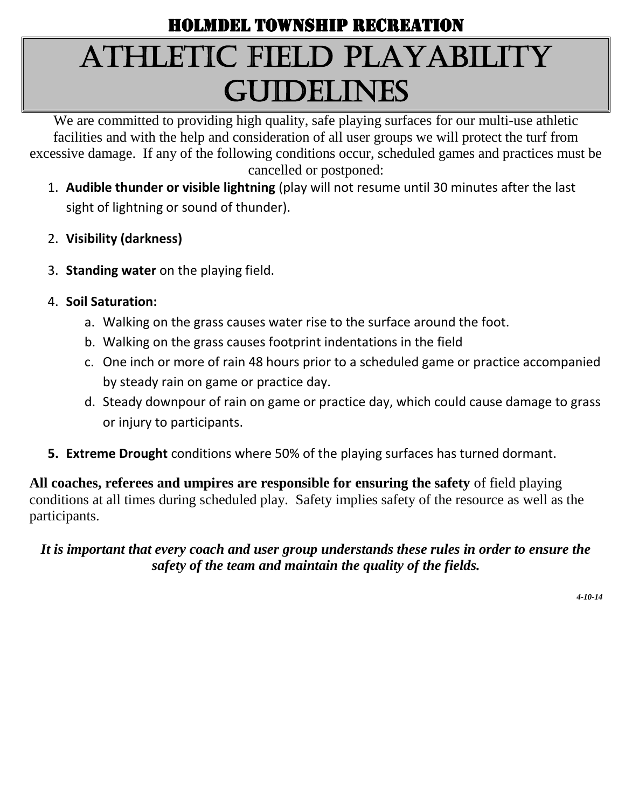# Holmdel Township Recreation Athletic Field PLAYABILITY **GUIDELINES**

We are committed to providing high quality, safe playing surfaces for our multi-use athletic facilities and with the help and consideration of all user groups we will protect the turf from excessive damage. If any of the following conditions occur, scheduled games and practices must be cancelled or postponed:

- 1. **Audible thunder or visible lightning** (play will not resume until 30 minutes after the last sight of lightning or sound of thunder).
- 2. **Visibility (darkness)**
- 3. **Standing water** on the playing field.
- 4. **Soil Saturation:**
	- a. Walking on the grass causes water rise to the surface around the foot.
	- b. Walking on the grass causes footprint indentations in the field
	- c. One inch or more of rain 48 hours prior to a scheduled game or practice accompanied by steady rain on game or practice day.
	- d. Steady downpour of rain on game or practice day, which could cause damage to grass or injury to participants.
- **5. Extreme Drought** conditions where 50% of the playing surfaces has turned dormant.

**All coaches, referees and umpires are responsible for ensuring the safety** of field playing conditions at all times during scheduled play. Safety implies safety of the resource as well as the participants.

*It is important that every coach and user group understands these rules in order to ensure the safety of the team and maintain the quality of the fields.*

*4-10-14*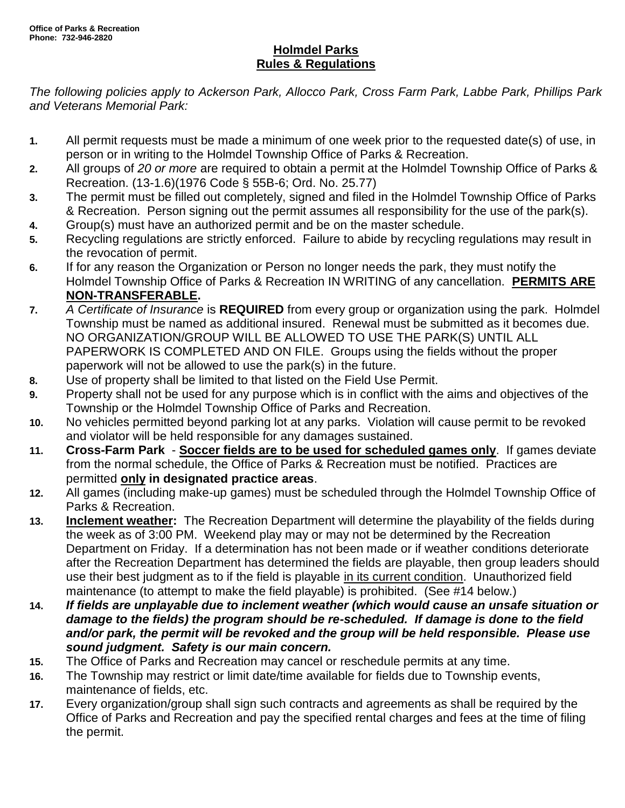#### **Holmdel Parks Rules & Regulations**

*The following policies apply to Ackerson Park, Allocco Park, Cross Farm Park, Labbe Park, Phillips Park and Veterans Memorial Park:*

- **1.** All permit requests must be made a minimum of one week prior to the requested date(s) of use, in person or in writing to the Holmdel Township Office of Parks & Recreation.
- **2.** All groups of *20 or more* are required to obtain a permit at the Holmdel Township Office of Parks & Recreation. (13-1.6)(1976 Code § 55B-6; Ord. No. 25.77)
- **3.** The permit must be filled out completely, signed and filed in the Holmdel Township Office of Parks & Recreation. Person signing out the permit assumes all responsibility for the use of the park(s).
- **4.** Group(s) must have an authorized permit and be on the master schedule.
- **5.** Recycling regulations are strictly enforced. Failure to abide by recycling regulations may result in the revocation of permit.
- **6.** If for any reason the Organization or Person no longer needs the park, they must notify the Holmdel Township Office of Parks & Recreation IN WRITING of any cancellation. **PERMITS ARE NON-TRANSFERABLE.**
- **7.** *A Certificate of Insurance* is **REQUIRED** from every group or organization using the park. Holmdel Township must be named as additional insured. Renewal must be submitted as it becomes due. NO ORGANIZATION/GROUP WILL BE ALLOWED TO USE THE PARK(S) UNTIL ALL PAPERWORK IS COMPLETED AND ON FILE. Groups using the fields without the proper paperwork will not be allowed to use the park(s) in the future.
- **8.** Use of property shall be limited to that listed on the Field Use Permit.
- **9.** Property shall not be used for any purpose which is in conflict with the aims and objectives of the Township or the Holmdel Township Office of Parks and Recreation.
- **10.** No vehicles permitted beyond parking lot at any parks. Violation will cause permit to be revoked and violator will be held responsible for any damages sustained.
- **11. Cross-Farm Park Soccer fields are to be used for scheduled games only**. If games deviate from the normal schedule, the Office of Parks & Recreation must be notified. Practices are permitted **only in designated practice areas**.
- **12.** All games (including make-up games) must be scheduled through the Holmdel Township Office of Parks & Recreation.
- **13. Inclement weather:** The Recreation Department will determine the playability of the fields during the week as of 3:00 PM. Weekend play may or may not be determined by the Recreation Department on Friday. If a determination has not been made or if weather conditions deteriorate after the Recreation Department has determined the fields are playable, then group leaders should use their best judgment as to if the field is playable in its current condition. Unauthorized field maintenance (to attempt to make the field playable) is prohibited. (See #14 below.)
- **14.** *If fields are unplayable due to inclement weather (which would cause an unsafe situation or damage to the fields) the program should be re-scheduled. If damage is done to the field and/or park, the permit will be revoked and the group will be held responsible. Please use sound judgment. Safety is our main concern.*
- **15.** The Office of Parks and Recreation may cancel or reschedule permits at any time.
- **16.** The Township may restrict or limit date/time available for fields due to Township events, maintenance of fields, etc.
- **17.** Every organization/group shall sign such contracts and agreements as shall be required by the Office of Parks and Recreation and pay the specified rental charges and fees at the time of filing the permit.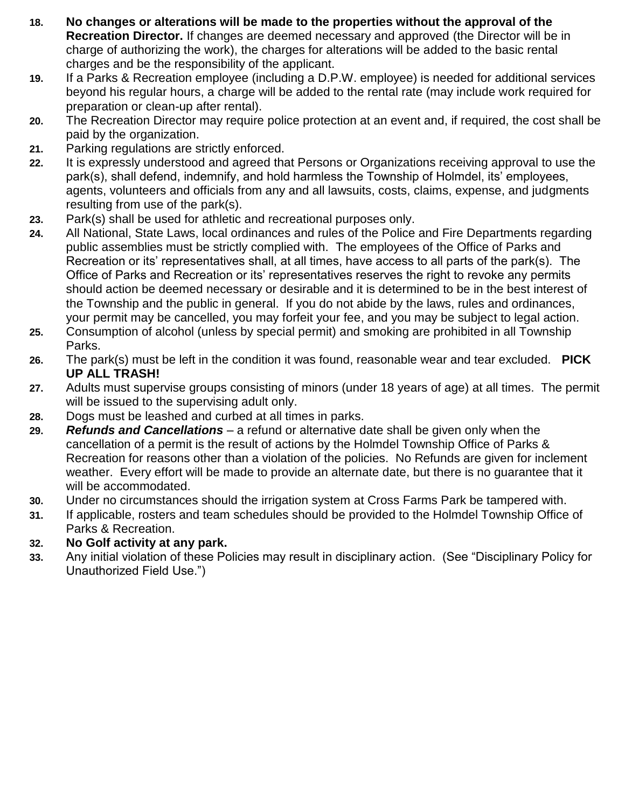- **18. No changes or alterations will be made to the properties without the approval of the Recreation Director.** If changes are deemed necessary and approved (the Director will be in charge of authorizing the work), the charges for alterations will be added to the basic rental charges and be the responsibility of the applicant.
- **19.** If a Parks & Recreation employee (including a D.P.W. employee) is needed for additional services beyond his regular hours, a charge will be added to the rental rate (may include work required for preparation or clean-up after rental).
- **20.** The Recreation Director may require police protection at an event and, if required, the cost shall be paid by the organization.
- **21.** Parking regulations are strictly enforced.
- **22.** It is expressly understood and agreed that Persons or Organizations receiving approval to use the park(s), shall defend, indemnify, and hold harmless the Township of Holmdel, its' employees, agents, volunteers and officials from any and all lawsuits, costs, claims, expense, and judgments resulting from use of the park(s).
- **23.** Park(s) shall be used for athletic and recreational purposes only.
- **24.** All National, State Laws, local ordinances and rules of the Police and Fire Departments regarding public assemblies must be strictly complied with. The employees of the Office of Parks and Recreation or its' representatives shall, at all times, have access to all parts of the park(s). The Office of Parks and Recreation or its' representatives reserves the right to revoke any permits should action be deemed necessary or desirable and it is determined to be in the best interest of the Township and the public in general. If you do not abide by the laws, rules and ordinances, your permit may be cancelled, you may forfeit your fee, and you may be subject to legal action.
- **25.** Consumption of alcohol (unless by special permit) and smoking are prohibited in all Township Parks.
- **26.** The park(s) must be left in the condition it was found, reasonable wear and tear excluded. **PICK UP ALL TRASH!**
- **27.** Adults must supervise groups consisting of minors (under 18 years of age) at all times. The permit will be issued to the supervising adult only.
- **28.** Dogs must be leashed and curbed at all times in parks.
- **29.** *Refunds and Cancellations* a refund or alternative date shall be given only when the cancellation of a permit is the result of actions by the Holmdel Township Office of Parks & Recreation for reasons other than a violation of the policies. No Refunds are given for inclement weather. Every effort will be made to provide an alternate date, but there is no guarantee that it will be accommodated.
- **30.** Under no circumstances should the irrigation system at Cross Farms Park be tampered with.
- **31.** If applicable, rosters and team schedules should be provided to the Holmdel Township Office of Parks & Recreation.

#### **32. No Golf activity at any park.**

**33.** Any initial violation of these Policies may result in disciplinary action. (See "Disciplinary Policy for Unauthorized Field Use.")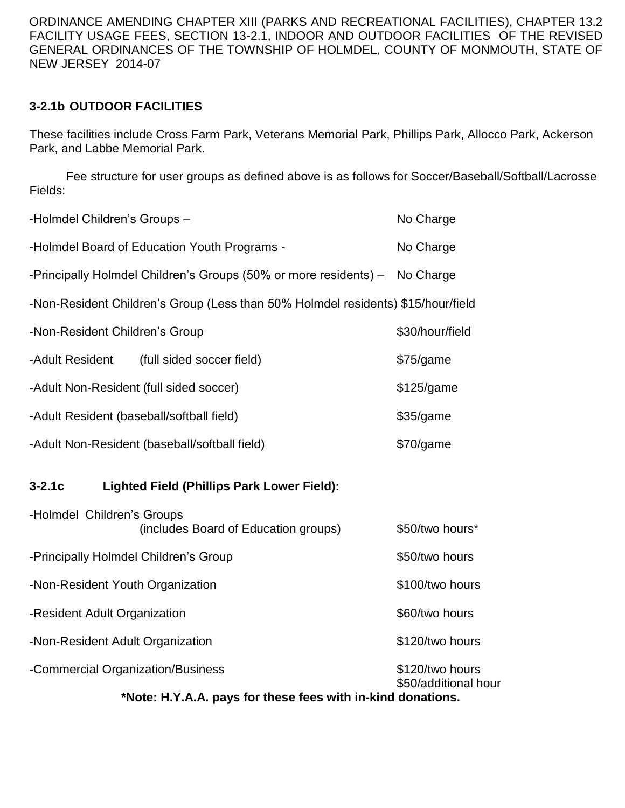ORDINANCE AMENDING CHAPTER XIII (PARKS AND RECREATIONAL FACILITIES), CHAPTER 13.2 FACILITY USAGE FEES, SECTION 13-2.1, INDOOR AND OUTDOOR FACILITIES OF THE REVISED GENERAL ORDINANCES OF THE TOWNSHIP OF HOLMDEL, COUNTY OF MONMOUTH, STATE OF NEW JERSEY 2014-07

#### **3-2.1b OUTDOOR FACILITIES**

These facilities include Cross Farm Park, Veterans Memorial Park, Phillips Park, Allocco Park, Ackerson Park, and Labbe Memorial Park.

Fee structure for user groups as defined above is as follows for Soccer/Baseball/Softball/Lacrosse Fields:

| -Holmdel Children's Groups-<br>No Charge                                      |                                                                                  |                 |  |  |  |
|-------------------------------------------------------------------------------|----------------------------------------------------------------------------------|-----------------|--|--|--|
| -Holmdel Board of Education Youth Programs -<br>No Charge                     |                                                                                  |                 |  |  |  |
| -Principally Holmdel Children's Groups (50% or more residents) -<br>No Charge |                                                                                  |                 |  |  |  |
|                                                                               | -Non-Resident Children's Group (Less than 50% Holmdel residents) \$15/hour/field |                 |  |  |  |
| -Non-Resident Children's Group<br>\$30/hour/field                             |                                                                                  |                 |  |  |  |
| -Adult Resident                                                               | (full sided soccer field)                                                        | \$75/game       |  |  |  |
| -Adult Non-Resident (full sided soccer)                                       | \$125/game                                                                       |                 |  |  |  |
| -Adult Resident (baseball/softball field)<br>\$35/game                        |                                                                                  |                 |  |  |  |
|                                                                               | -Adult Non-Resident (baseball/softball field)                                    | \$70/game       |  |  |  |
| $3-2.1c$                                                                      | <b>Lighted Field (Phillips Park Lower Field):</b>                                |                 |  |  |  |
| -Holmdel Children's Groups                                                    | (includes Board of Education groups)                                             | \$50/two hours* |  |  |  |
| -Principally Holmdel Children's Group                                         |                                                                                  | \$50/two hours  |  |  |  |
| -Non-Resident Youth Organization                                              | \$100/two hours                                                                  |                 |  |  |  |
| -Resident Adult Organization                                                  | \$60/two hours                                                                   |                 |  |  |  |
| -Non-Resident Adult Organization                                              | \$120/two hours                                                                  |                 |  |  |  |
| -Commercial Organization/Business                                             | \$120/two hours                                                                  |                 |  |  |  |

\$50/additional hour

**\*Note: H.Y.A.A. pays for these fees with in-kind donations.**